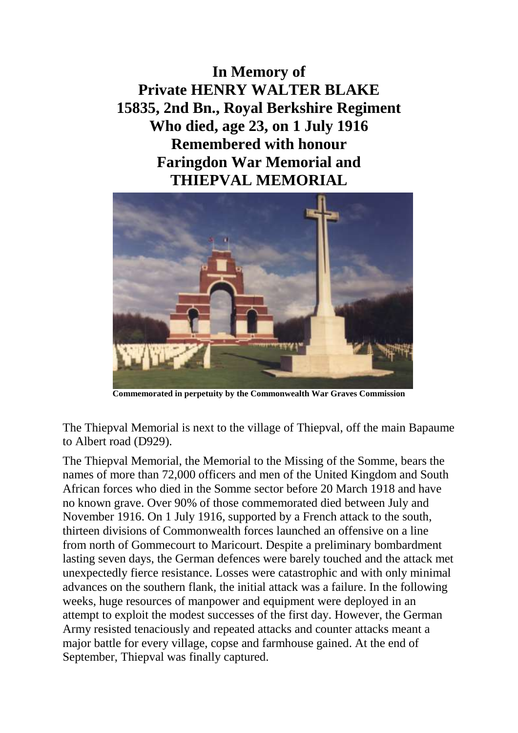**In Memory of Private HENRY WALTER BLAKE 15835, 2nd Bn., Royal Berkshire Regiment Who died, age 23, on 1 July 1916 Remembered with honour Faringdon War Memorial and THIEPVAL MEMORIAL**



**Commemorated in perpetuity by the Commonwealth War Graves Commission**

The Thiepval Memorial is next to the village of Thiepval, off the main Bapaume to Albert road (D929).

The Thiepval Memorial, the Memorial to the Missing of the Somme, bears the names of more than 72,000 officers and men of the United Kingdom and South African forces who died in the Somme sector before 20 March 1918 and have no known grave. Over 90% of those commemorated died between July and November 1916. On 1 July 1916, supported by a French attack to the south, thirteen divisions of Commonwealth forces launched an offensive on a line from north of Gommecourt to Maricourt. Despite a preliminary bombardment lasting seven days, the German defences were barely touched and the attack met unexpectedly fierce resistance. Losses were catastrophic and with only minimal advances on the southern flank, the initial attack was a failure. In the following weeks, huge resources of manpower and equipment were deployed in an attempt to exploit the modest successes of the first day. However, the German Army resisted tenaciously and repeated attacks and counter attacks meant a major battle for every village, copse and farmhouse gained. At the end of September, Thiepval was finally captured.